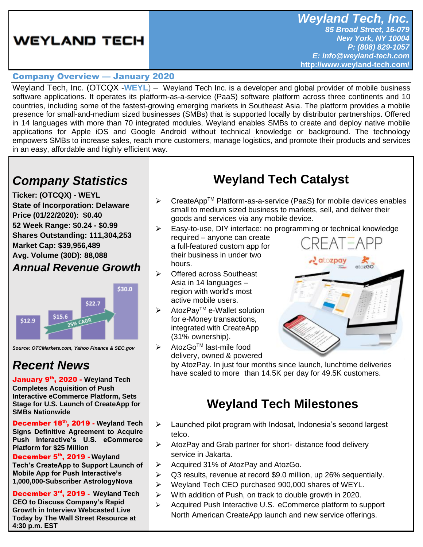## **WEYLAND TECH**

### Company Overview — January 2020

Weyland Tech, Inc. (OTCQX -**[WEYL](https://www.otcmarkets.com/stock/WEYL/profile)**) – Weyland Tech Inc. is a developer and global provider of mobile business software applications. It operates its platform-as-a-service (PaaS) software platform across three continents and 10 countries, including some of the fastest-growing emerging markets in Southeast Asia. The platform provides a mobile presence for small-and-medium sized businesses (SMBs) that is supported locally by distributor partnerships. Offered in 14 languages with more than 70 integrated modules, Weyland enables SMBs to create and deploy native mobile applications for Apple iOS and Google Android without technical knowledge or background. The technology empowers SMBs to increase sales, reach more customers, manage logistics, and promote their products and services in an easy, affordable and highly efficient way.

# *Company Statistics*

**Ticker: (OTCQX) - WEYL State of Incorporation: Delaware Price (01/22/2020): \$0.40 52 Week Range: \$0.24 - \$0.99 Shares Outstanding: 111,304,253 Market Cap: \$39,956,489 Avg. Volume (30D): 88,088**

### *Annual Revenue Growth*



*Source: OTCMarkets.com, Yahoo Finance & SEC.gov*

### *Recent News*

January 9 th, 2020 - **[Weyland Tech](https://www.otcmarkets.com/stock/WEYL/news/Weyland-Tech-Completes-Acquisition-of-Push-Interactive-eCommerce-Platform-Sets-Stage-for-US-Launch-of-CreateApp-for-SMBs?id=250905)  [Completes Acquisition of Push](https://www.otcmarkets.com/stock/WEYL/news/Weyland-Tech-Completes-Acquisition-of-Push-Interactive-eCommerce-Platform-Sets-Stage-for-US-Launch-of-CreateApp-for-SMBs?id=250905)  [Interactive eCommerce Platform, Sets](https://www.otcmarkets.com/stock/WEYL/news/Weyland-Tech-Completes-Acquisition-of-Push-Interactive-eCommerce-Platform-Sets-Stage-for-US-Launch-of-CreateApp-for-SMBs?id=250905)  [Stage for U.S. Launch of CreateApp for](https://www.otcmarkets.com/stock/WEYL/news/Weyland-Tech-Completes-Acquisition-of-Push-Interactive-eCommerce-Platform-Sets-Stage-for-US-Launch-of-CreateApp-for-SMBs?id=250905)  [SMBs Nationwide](https://www.otcmarkets.com/stock/WEYL/news/Weyland-Tech-Completes-Acquisition-of-Push-Interactive-eCommerce-Platform-Sets-Stage-for-US-Launch-of-CreateApp-for-SMBs?id=250905)**

December 18th, 2019 - **[Weyland Tech](https://www.otcmarkets.com/stock/WEYL/news/Weyland-Tech-Signs-Definitive-Agreement-to-Acquire-Push-Interactives-US-eCommerce-Platform-for-25-Million?id=249619)  [Signs Definitive Agreement to Acquire](https://www.otcmarkets.com/stock/WEYL/news/Weyland-Tech-Signs-Definitive-Agreement-to-Acquire-Push-Interactives-US-eCommerce-Platform-for-25-Million?id=249619)  [Push Interactive's U.S. eCommerce](https://www.otcmarkets.com/stock/WEYL/news/Weyland-Tech-Signs-Definitive-Agreement-to-Acquire-Push-Interactives-US-eCommerce-Platform-for-25-Million?id=249619)  [Platform for \\$25 Million](https://www.otcmarkets.com/stock/WEYL/news/Weyland-Tech-Signs-Definitive-Agreement-to-Acquire-Push-Interactives-US-eCommerce-Platform-for-25-Million?id=249619)**

December 5<sup>th</sup>, 2019 - Weyland **[Tech's CreateApp to Support Launch of](https://www.otcmarkets.com/stock/WEYL/news/Weyland-Techs-CreateApp-to-Support-Launch-of-Mobile-App-for-Push-Interactives-1000000-Subscriber-AstrologyNova?id=248527)  [Mobile App for Push Interactive's](https://www.otcmarkets.com/stock/WEYL/news/Weyland-Techs-CreateApp-to-Support-Launch-of-Mobile-App-for-Push-Interactives-1000000-Subscriber-AstrologyNova?id=248527)  [1,000,000-Subscriber AstrologyNova](https://www.otcmarkets.com/stock/WEYL/news/Weyland-Techs-CreateApp-to-Support-Launch-of-Mobile-App-for-Push-Interactives-1000000-Subscriber-AstrologyNova?id=248527)**

December 3 rd, 2019 - **[Weyland Tech](https://www.otcmarkets.com/stock/WEYL/news/Weyland-Tech-CEO-to-Discuss-Companys-Rapid-Growth-in-Interview-Webcasted-Live-Today-by-The-Wall-Street-Resource-at-430-p?id=248234)  [CEO to Discuss Company's Rapid](https://www.otcmarkets.com/stock/WEYL/news/Weyland-Tech-CEO-to-Discuss-Companys-Rapid-Growth-in-Interview-Webcasted-Live-Today-by-The-Wall-Street-Resource-at-430-p?id=248234)  [Growth in Interview Webcasted Live](https://www.otcmarkets.com/stock/WEYL/news/Weyland-Tech-CEO-to-Discuss-Companys-Rapid-Growth-in-Interview-Webcasted-Live-Today-by-The-Wall-Street-Resource-at-430-p?id=248234)  [Today by The Wall Street Resource at](https://www.otcmarkets.com/stock/WEYL/news/Weyland-Tech-CEO-to-Discuss-Companys-Rapid-Growth-in-Interview-Webcasted-Live-Today-by-The-Wall-Street-Resource-at-430-p?id=248234)  [4:30 p.m. EST](https://www.otcmarkets.com/stock/WEYL/news/Weyland-Tech-CEO-to-Discuss-Companys-Rapid-Growth-in-Interview-Webcasted-Live-Today-by-The-Wall-Street-Resource-at-430-p?id=248234)**

# **Weyland Tech Catalyst**

- $\triangleright$  CreateApp<sup>TM</sup> Platform-as-a-service (PaaS) for mobile devices enables small to medium sized business to markets, sell, and deliver their goods and services via any mobile device.
- ➢ Easy-to-use, DIY interface: no programming or technical knowledge required – anyone can create a full-featured custom app for their business in under two atozpay hours.
- ➢ Offered across Southeast Asia in 14 languages – region with world's most active mobile users.
- ➢ AtozPayTM e-Wallet solution for e-Money transactions, integrated with CreateApp (31% ownership).

delivery, owned & powered

 $\triangleright$  AtozGo<sup>TM</sup> last-mile food

by AtozPay. In just four months since launch, lunchtime deliveries have scaled to more than 14.5K per day for 49.5K customers.

## **Weyland Tech Milestones**

- ➢ Launched pilot program with Indosat, Indonesia's second largest telco.
- ➢ AtozPay and Grab partner for short- distance food delivery service in Jakarta.
- ➢ Acquired 31% of AtozPay and AtozGo.
- ➢ Q3 results, revenue at record \$9.0 million, up 26% sequentially.
- ➢ Weyland Tech CEO purchased 900,000 shares of WEYL.
- ➢ With addition of Push, on track to double growth in 2020.
- ➢ Acquired Push Interactive U.S. eCommerce platform to support North American CreateApp launch and new service offerings.